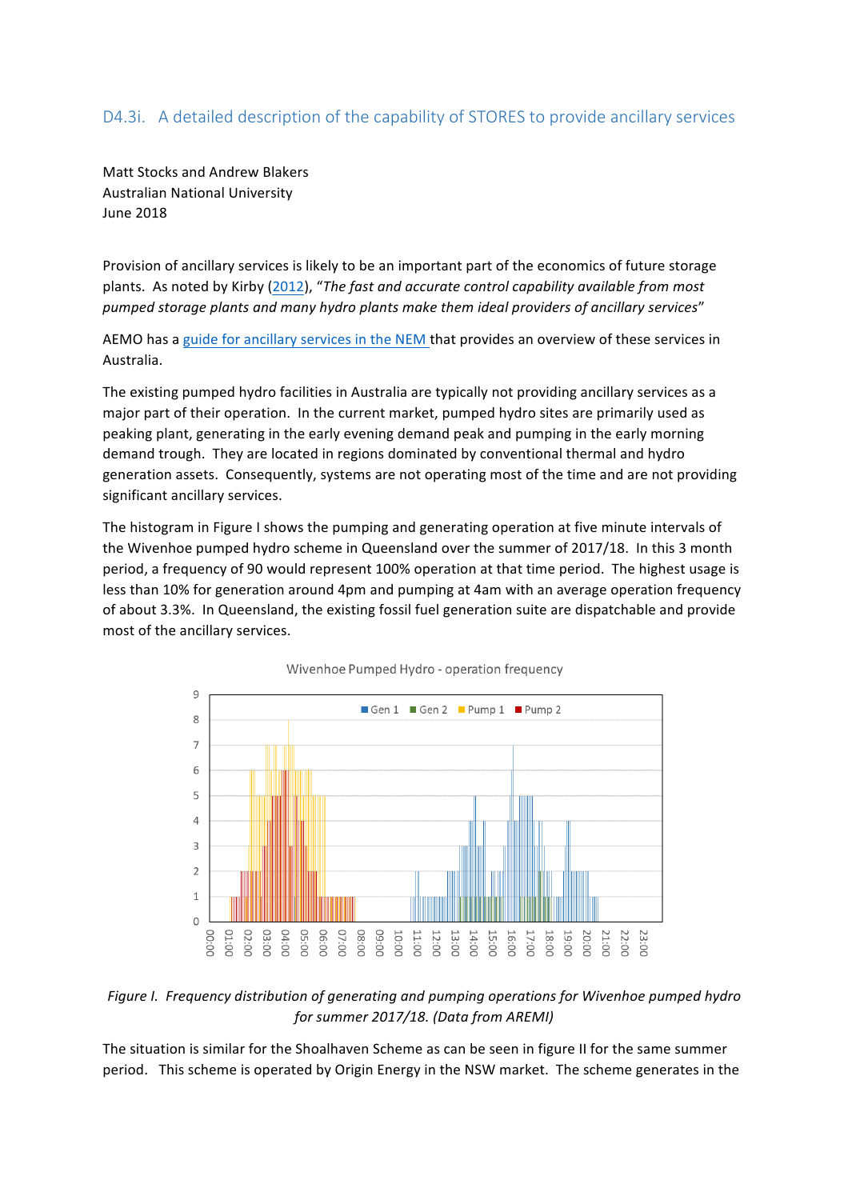# D4.3i. A detailed description of the capability of STORES to provide ancillary services

Matt Stocks and Andrew Blakers Australian National University June 2018

Provision of ancillary services is likely to be an important part of the economics of future storage plants. As noted by Kirby (2012), "The fast and accurate control capability available from most pumped storage plants and many hydro plants make them ideal providers of ancillary services"

AEMO has a guide for ancillary services in the NEM that provides an overview of these services in Australia.

The existing pumped hydro facilities in Australia are typically not providing ancillary services as a major part of their operation. In the current market, pumped hydro sites are primarily used as peaking plant, generating in the early evening demand peak and pumping in the early morning demand trough. They are located in regions dominated by conventional thermal and hydro generation assets. Consequently, systems are not operating most of the time and are not providing significant ancillary services.

The histogram in Figure I shows the pumping and generating operation at five minute intervals of the Wivenhoe pumped hydro scheme in Queensland over the summer of 2017/18. In this 3 month period, a frequency of 90 would represent 100% operation at that time period. The highest usage is less than 10% for generation around 4pm and pumping at 4am with an average operation frequency of about 3.3%. In Queensland, the existing fossil fuel generation suite are dispatchable and provide most of the ancillary services.





Figure *I.* Frequency distribution of generating and pumping operations for Wivenhoe pumped hydro *for summer 2017/18. (Data from AREMI)* 

The situation is similar for the Shoalhaven Scheme as can be seen in figure II for the same summer period. This scheme is operated by Origin Energy in the NSW market. The scheme generates in the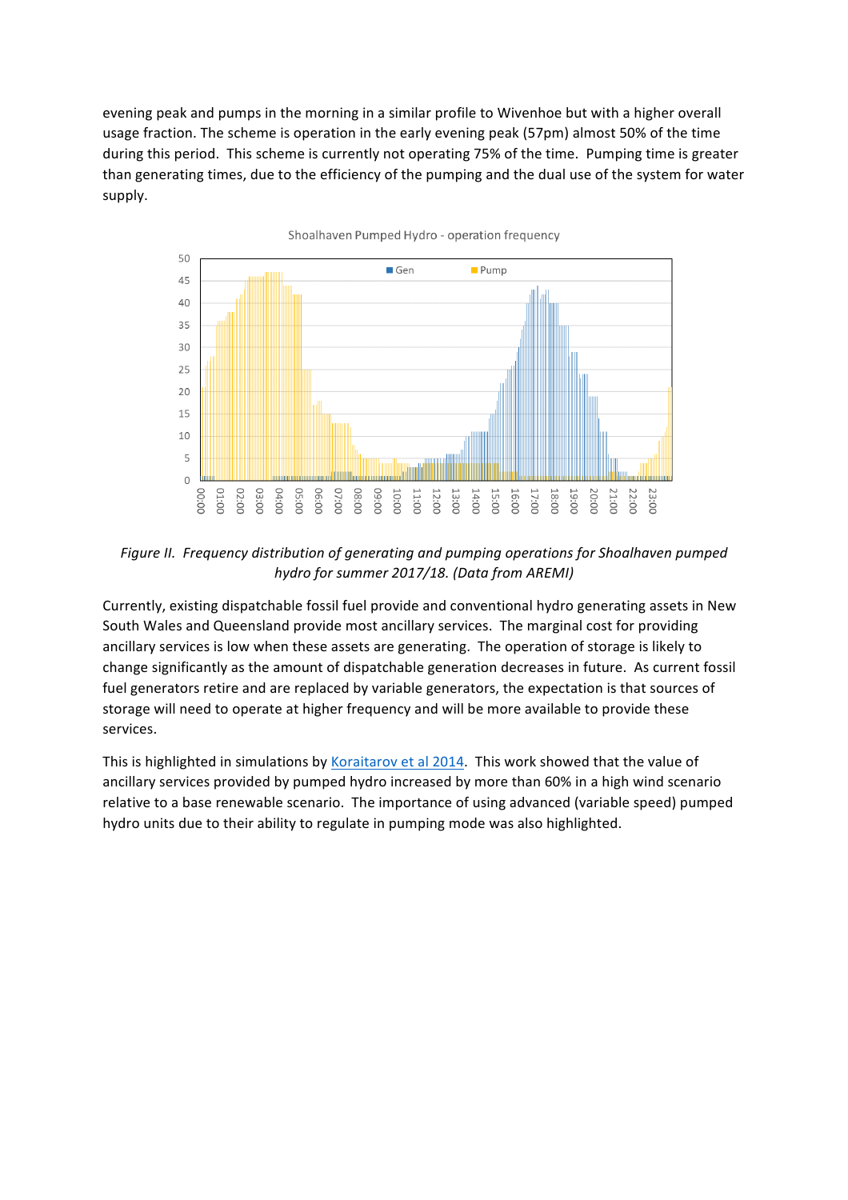evening peak and pumps in the morning in a similar profile to Wivenhoe but with a higher overall usage fraction. The scheme is operation in the early evening peak (57pm) almost 50% of the time during this period. This scheme is currently not operating 75% of the time. Pumping time is greater than generating times, due to the efficiency of the pumping and the dual use of the system for water supply.



Figure II. Frequency distribution of generating and pumping operations for Shoalhaven pumped *hydro for summer 2017/18. (Data from AREMI)*

Currently, existing dispatchable fossil fuel provide and conventional hydro generating assets in New South Wales and Queensland provide most ancillary services. The marginal cost for providing ancillary services is low when these assets are generating. The operation of storage is likely to change significantly as the amount of dispatchable generation decreases in future. As current fossil fuel generators retire and are replaced by variable generators, the expectation is that sources of storage will need to operate at higher frequency and will be more available to provide these services. 

This is highlighted in simulations by Koraitarov et al 2014. This work showed that the value of ancillary services provided by pumped hydro increased by more than 60% in a high wind scenario relative to a base renewable scenario. The importance of using advanced (variable speed) pumped hydro units due to their ability to regulate in pumping mode was also highlighted.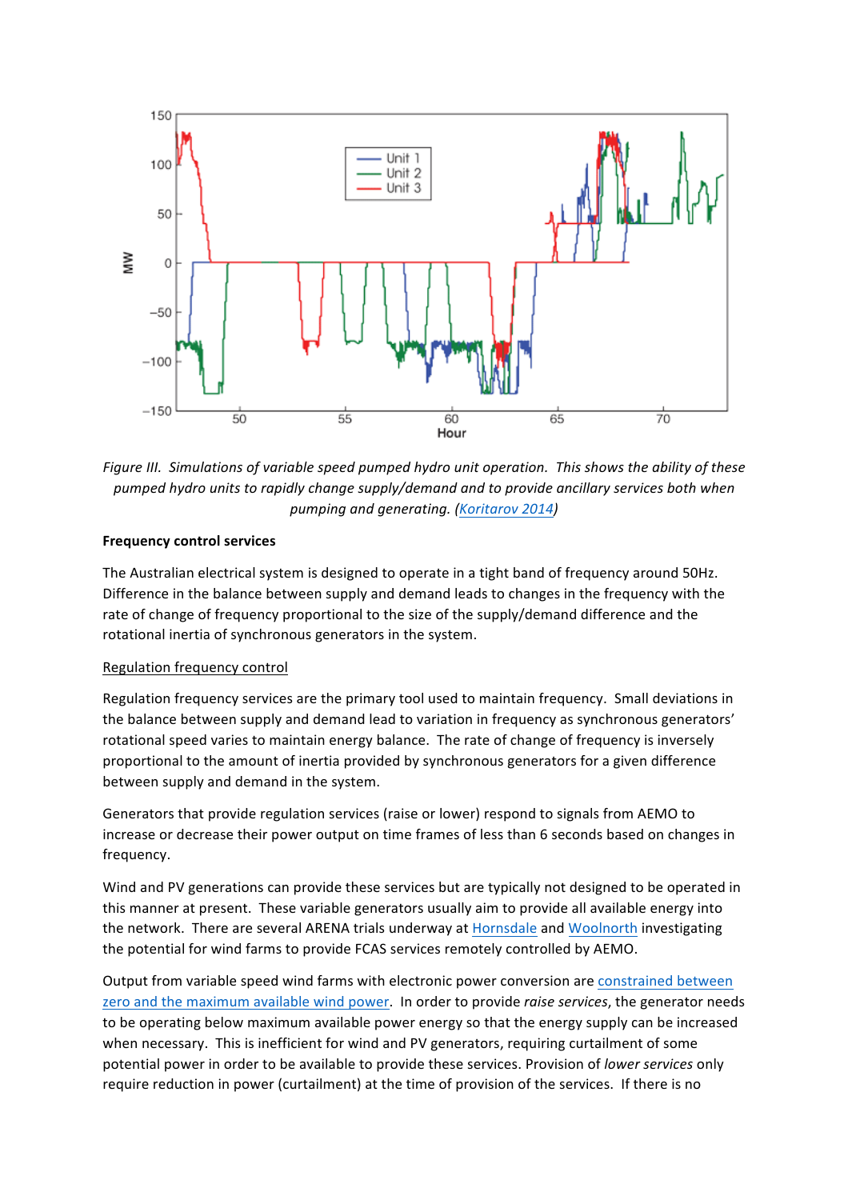

Figure III. Simulations of variable speed pumped hydro unit operation. This shows the ability of these pumped hydro units to rapidly change supply/demand and to provide ancillary services both when *pumping and generating. (Koritarov 2014)*

### **Frequency control services**

The Australian electrical system is designed to operate in a tight band of frequency around 50Hz. Difference in the balance between supply and demand leads to changes in the frequency with the rate of change of frequency proportional to the size of the supply/demand difference and the rotational inertia of synchronous generators in the system.

### Regulation frequency control

Regulation frequency services are the primary tool used to maintain frequency. Small deviations in the balance between supply and demand lead to variation in frequency as synchronous generators' rotational speed varies to maintain energy balance. The rate of change of frequency is inversely proportional to the amount of inertia provided by synchronous generators for a given difference between supply and demand in the system.

Generators that provide regulation services (raise or lower) respond to signals from AEMO to increase or decrease their power output on time frames of less than 6 seconds based on changes in frequency. 

Wind and PV generations can provide these services but are typically not designed to be operated in this manner at present. These variable generators usually aim to provide all available energy into the network. There are several ARENA trials underway at Hornsdale and Woolnorth investigating the potential for wind farms to provide FCAS services remotely controlled by AEMO.

Output from variable speed wind farms with electronic power conversion are constrained between zero and the maximum available wind power. In order to provide *raise services*, the generator needs to be operating below maximum available power energy so that the energy supply can be increased when necessary. This is inefficient for wind and PV generators, requiring curtailment of some potential power in order to be available to provide these services. Provision of *lower services* only require reduction in power (curtailment) at the time of provision of the services. If there is no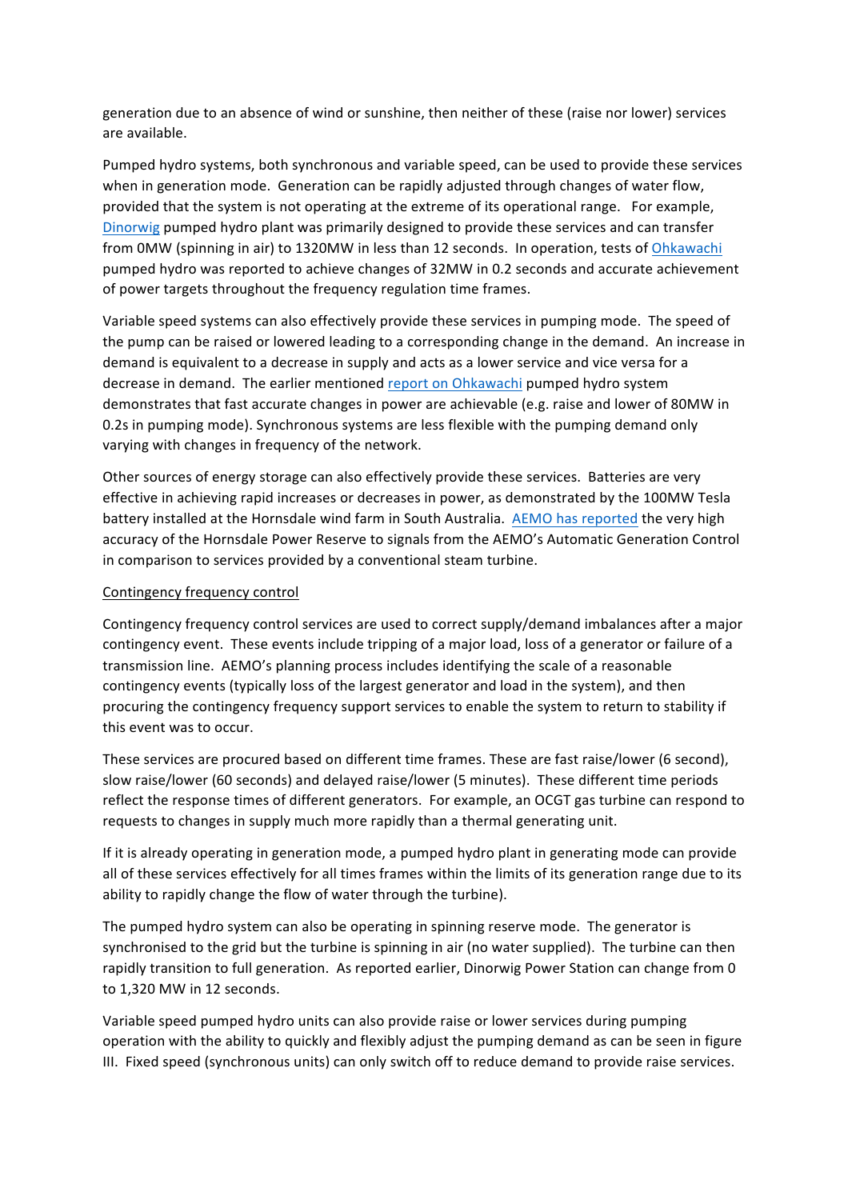generation due to an absence of wind or sunshine, then neither of these (raise nor lower) services are available.

Pumped hydro systems, both synchronous and variable speed, can be used to provide these services when in generation mode. Generation can be rapidly adjusted through changes of water flow, provided that the system is not operating at the extreme of its operational range. For example, Dinorwig pumped hydro plant was primarily designed to provide these services and can transfer from OMW (spinning in air) to 1320MW in less than 12 seconds. In operation, tests of Ohkawachi pumped hydro was reported to achieve changes of 32MW in 0.2 seconds and accurate achievement of power targets throughout the frequency regulation time frames.

Variable speed systems can also effectively provide these services in pumping mode. The speed of the pump can be raised or lowered leading to a corresponding change in the demand. An increase in demand is equivalent to a decrease in supply and acts as a lower service and vice versa for a decrease in demand. The earlier mentioned report on Ohkawachi pumped hydro system demonstrates that fast accurate changes in power are achievable (e.g. raise and lower of 80MW in 0.2s in pumping mode). Synchronous systems are less flexible with the pumping demand only varying with changes in frequency of the network.

Other sources of energy storage can also effectively provide these services. Batteries are very effective in achieving rapid increases or decreases in power, as demonstrated by the 100MW Tesla battery installed at the Hornsdale wind farm in South Australia. AEMO has reported the very high accuracy of the Hornsdale Power Reserve to signals from the AEMO's Automatic Generation Control in comparison to services provided by a conventional steam turbine.

#### Contingency frequency control

Contingency frequency control services are used to correct supply/demand imbalances after a major contingency event. These events include tripping of a major load, loss of a generator or failure of a transmission line. AEMO's planning process includes identifying the scale of a reasonable contingency events (typically loss of the largest generator and load in the system), and then procuring the contingency frequency support services to enable the system to return to stability if this event was to occur.

These services are procured based on different time frames. These are fast raise/lower (6 second), slow raise/lower (60 seconds) and delayed raise/lower (5 minutes). These different time periods reflect the response times of different generators. For example, an OCGT gas turbine can respond to requests to changes in supply much more rapidly than a thermal generating unit.

If it is already operating in generation mode, a pumped hydro plant in generating mode can provide all of these services effectively for all times frames within the limits of its generation range due to its ability to rapidly change the flow of water through the turbine).

The pumped hydro system can also be operating in spinning reserve mode. The generator is synchronised to the grid but the turbine is spinning in air (no water supplied). The turbine can then rapidly transition to full generation. As reported earlier, Dinorwig Power Station can change from 0 to 1,320 MW in 12 seconds.

Variable speed pumped hydro units can also provide raise or lower services during pumping operation with the ability to quickly and flexibly adjust the pumping demand as can be seen in figure III. Fixed speed (synchronous units) can only switch off to reduce demand to provide raise services.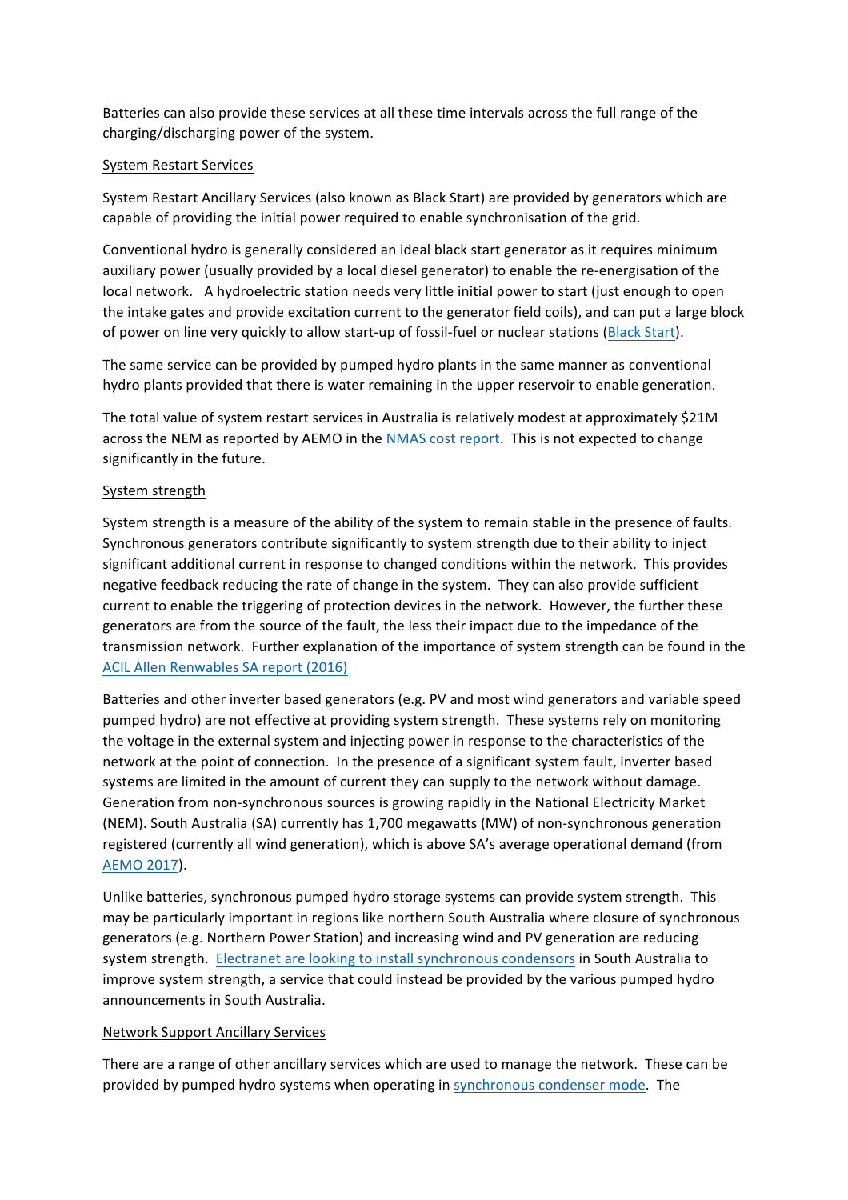Batteries can also provide these services at all these time intervals across the full range of the charging/discharging power of the system.

### System Restart Services

System Restart Ancillary Services (also known as Black Start) are provided by generators which are capable of providing the initial power required to enable synchronisation of the grid.

Conventional hydro is generally considered an ideal black start generator as it requires minimum auxiliary power (usually provided by a local diesel generator) to enable the re-energisation of the local network. A hydroelectric station needs very little initial power to start (just enough to open the intake gates and provide excitation current to the generator field coils), and can put a large block of power on line very quickly to allow start-up of fossil-fuel or nuclear stations (Black Start).

The same service can be provided by pumped hydro plants in the same manner as conventional hydro plants provided that there is water remaining in the upper reservoir to enable generation.

The total value of system restart services in Australia is relatively modest at approximately \$21M across the NEM as reported by AEMO in the NMAS cost report. This is not expected to change significantly in the future.

## System strength

System strength is a measure of the ability of the system to remain stable in the presence of faults. Synchronous generators contribute significantly to system strength due to their ability to inject significant additional current in response to changed conditions within the network. This provides negative feedback reducing the rate of change in the system. They can also provide sufficient current to enable the triggering of protection devices in the network. However, the further these generators are from the source of the fault, the less their impact due to the impedance of the transmission network. Further explanation of the importance of system strength can be found in the ACIL Allen Renwables SA report (2016)

Batteries and other inverter based generators (e.g. PV and most wind generators and variable speed pumped hydro) are not effective at providing system strength. These systems rely on monitoring the voltage in the external system and injecting power in response to the characteristics of the network at the point of connection. In the presence of a significant system fault, inverter based systems are limited in the amount of current they can supply to the network without damage. Generation from non-synchronous sources is growing rapidly in the National Electricity Market (NEM). South Australia (SA) currently has 1,700 megawatts (MW) of non-synchronous generation registered (currently all wind generation), which is above SA's average operational demand (from AEMO 2017).

Unlike batteries, synchronous pumped hydro storage systems can provide system strength. This may be particularly important in regions like northern South Australia where closure of synchronous generators (e.g. Northern Power Station) and increasing wind and PV generation are reducing system strength. Electranet are looking to install synchronous condensors in South Australia to improve system strength, a service that could instead be provided by the various pumped hydro announcements in South Australia.

### Network Support Ancillary Services

There are a range of other ancillary services which are used to manage the network. These can be provided by pumped hydro systems when operating in synchronous condenser mode. The